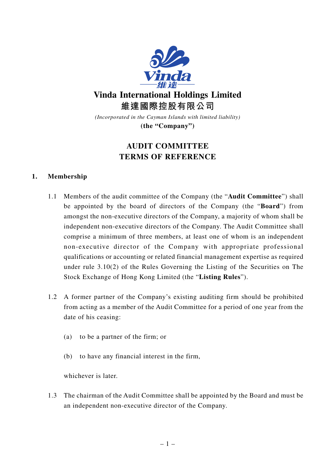

**Vinda International Holdings Limited 維達國際控股有限公司**

*(Incorporated in the Cayman Islands with limited liability)* **(the "Company")**

# **AUDIT COMMITTEE TERMS OF REFERENCE**

# **1. Membership**

- 1.1 Members of the audit committee of the Company (the "**Audit Committee**") shall be appointed by the board of directors of the Company (the "**Board**") from amongst the non-executive directors of the Company, a majority of whom shall be independent non-executive directors of the Company. The Audit Committee shall comprise a minimum of three members, at least one of whom is an independent non-executive director of the Company with appropriate professional qualifications or accounting or related financial management expertise as required under rule 3.10(2) of the Rules Governing the Listing of the Securities on The Stock Exchange of Hong Kong Limited (the "**Listing Rules**").
- 1.2 A former partner of the Company's existing auditing firm should be prohibited from acting as a member of the Audit Committee for a period of one year from the date of his ceasing:
	- (a) to be a partner of the firm; or
	- (b) to have any financial interest in the firm,

whichever is later.

1.3 The chairman of the Audit Committee shall be appointed by the Board and must be an independent non-executive director of the Company.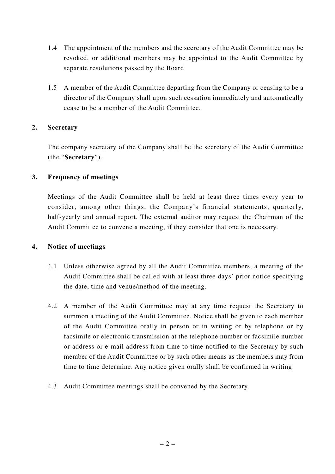- 1.4 The appointment of the members and the secretary of the Audit Committee may be revoked, or additional members may be appointed to the Audit Committee by separate resolutions passed by the Board
- 1.5 A member of the Audit Committee departing from the Company or ceasing to be a director of the Company shall upon such cessation immediately and automatically cease to be a member of the Audit Committee.

#### **2. Secretary**

The company secretary of the Company shall be the secretary of the Audit Committee (the "**Secretary**").

#### **3. Frequency of meetings**

Meetings of the Audit Committee shall be held at least three times every year to consider, among other things, the Company's financial statements, quarterly, half-yearly and annual report. The external auditor may request the Chairman of the Audit Committee to convene a meeting, if they consider that one is necessary.

#### **4. Notice of meetings**

- 4.1 Unless otherwise agreed by all the Audit Committee members, a meeting of the Audit Committee shall be called with at least three days' prior notice specifying the date, time and venue/method of the meeting.
- 4.2 A member of the Audit Committee may at any time request the Secretary to summon a meeting of the Audit Committee. Notice shall be given to each member of the Audit Committee orally in person or in writing or by telephone or by facsimile or electronic transmission at the telephone number or facsimile number or address or e-mail address from time to time notified to the Secretary by such member of the Audit Committee or by such other means as the members may from time to time determine. Any notice given orally shall be confirmed in writing.
- 4.3 Audit Committee meetings shall be convened by the Secretary.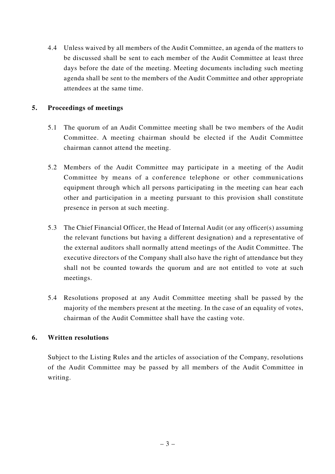4.4 Unless waived by all members of the Audit Committee, an agenda of the matters to be discussed shall be sent to each member of the Audit Committee at least three days before the date of the meeting. Meeting documents including such meeting agenda shall be sent to the members of the Audit Committee and other appropriate attendees at the same time.

# **5. Proceedings of meetings**

- 5.1 The quorum of an Audit Committee meeting shall be two members of the Audit Committee. A meeting chairman should be elected if the Audit Committee chairman cannot attend the meeting.
- 5.2 Members of the Audit Committee may participate in a meeting of the Audit Committee by means of a conference telephone or other communications equipment through which all persons participating in the meeting can hear each other and participation in a meeting pursuant to this provision shall constitute presence in person at such meeting.
- 5.3 The Chief Financial Officer, the Head of Internal Audit (or any officer(s) assuming the relevant functions but having a different designation) and a representative of the external auditors shall normally attend meetings of the Audit Committee. The executive directors of the Company shall also have the right of attendance but they shall not be counted towards the quorum and are not entitled to vote at such meetings.
- 5.4 Resolutions proposed at any Audit Committee meeting shall be passed by the majority of the members present at the meeting. In the case of an equality of votes, chairman of the Audit Committee shall have the casting vote.

#### **6. Written resolutions**

Subject to the Listing Rules and the articles of association of the Company, resolutions of the Audit Committee may be passed by all members of the Audit Committee in writing.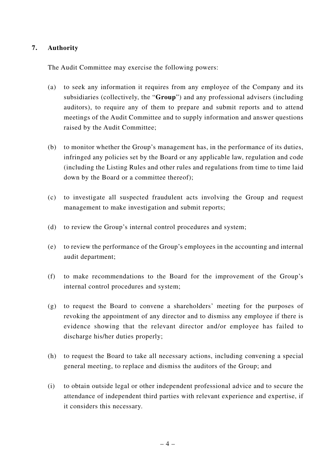# **7. Authority**

The Audit Committee may exercise the following powers:

- (a) to seek any information it requires from any employee of the Company and its subsidiaries (collectively, the "**Group**") and any professional advisers (including auditors), to require any of them to prepare and submit reports and to attend meetings of the Audit Committee and to supply information and answer questions raised by the Audit Committee;
- (b) to monitor whether the Group's management has, in the performance of its duties, infringed any policies set by the Board or any applicable law, regulation and code (including the Listing Rules and other rules and regulations from time to time laid down by the Board or a committee thereof);
- (c) to investigate all suspected fraudulent acts involving the Group and request management to make investigation and submit reports;
- (d) to review the Group's internal control procedures and system;
- (e) to review the performance of the Group's employees in the accounting and internal audit department;
- (f) to make recommendations to the Board for the improvement of the Group's internal control procedures and system;
- (g) to request the Board to convene a shareholders' meeting for the purposes of revoking the appointment of any director and to dismiss any employee if there is evidence showing that the relevant director and/or employee has failed to discharge his/her duties properly;
- (h) to request the Board to take all necessary actions, including convening a special general meeting, to replace and dismiss the auditors of the Group; and
- (i) to obtain outside legal or other independent professional advice and to secure the attendance of independent third parties with relevant experience and expertise, if it considers this necessary.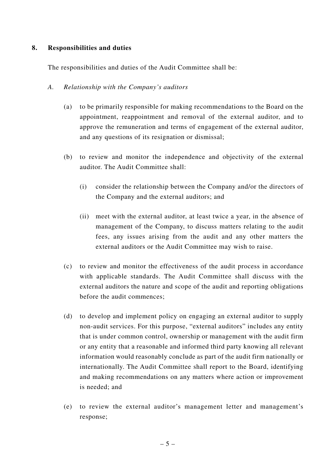#### **8. Responsibilities and duties**

The responsibilities and duties of the Audit Committee shall be:

#### *A. Relationship with the Company's auditors*

- (a) to be primarily responsible for making recommendations to the Board on the appointment, reappointment and removal of the external auditor, and to approve the remuneration and terms of engagement of the external auditor, and any questions of its resignation or dismissal;
- (b) to review and monitor the independence and objectivity of the external auditor. The Audit Committee shall:
	- (i) consider the relationship between the Company and/or the directors of the Company and the external auditors; and
	- (ii) meet with the external auditor, at least twice a year, in the absence of management of the Company, to discuss matters relating to the audit fees, any issues arising from the audit and any other matters the external auditors or the Audit Committee may wish to raise.
- (c) to review and monitor the effectiveness of the audit process in accordance with applicable standards. The Audit Committee shall discuss with the external auditors the nature and scope of the audit and reporting obligations before the audit commences;
- (d) to develop and implement policy on engaging an external auditor to supply non-audit services. For this purpose, "external auditors" includes any entity that is under common control, ownership or management with the audit firm or any entity that a reasonable and informed third party knowing all relevant information would reasonably conclude as part of the audit firm nationally or internationally. The Audit Committee shall report to the Board, identifying and making recommendations on any matters where action or improvement is needed; and
- (e) to review the external auditor's management letter and management's response;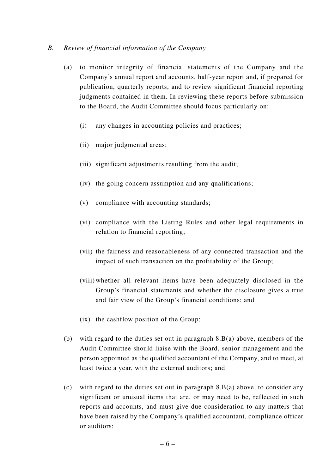#### *B. Review of financial information of the Company*

- (a) to monitor integrity of financial statements of the Company and the Company's annual report and accounts, half-year report and, if prepared for publication, quarterly reports, and to review significant financial reporting judgments contained in them. In reviewing these reports before submission to the Board, the Audit Committee should focus particularly on:
	- (i) any changes in accounting policies and practices;
	- (ii) major judgmental areas;
	- (iii) significant adjustments resulting from the audit;
	- (iv) the going concern assumption and any qualifications;
	- (v) compliance with accounting standards;
	- (vi) compliance with the Listing Rules and other legal requirements in relation to financial reporting;
	- (vii) the fairness and reasonableness of any connected transaction and the impact of such transaction on the profitability of the Group;
	- (viii) whether all relevant items have been adequately disclosed in the Group's financial statements and whether the disclosure gives a true and fair view of the Group's financial conditions; and
	- (ix) the cashflow position of the Group;
- (b) with regard to the duties set out in paragraph 8.B(a) above, members of the Audit Committee should liaise with the Board, senior management and the person appointed as the qualified accountant of the Company, and to meet, at least twice a year, with the external auditors; and
- (c) with regard to the duties set out in paragraph 8.B(a) above, to consider any significant or unusual items that are, or may need to be, reflected in such reports and accounts, and must give due consideration to any matters that have been raised by the Company's qualified accountant, compliance officer or auditors;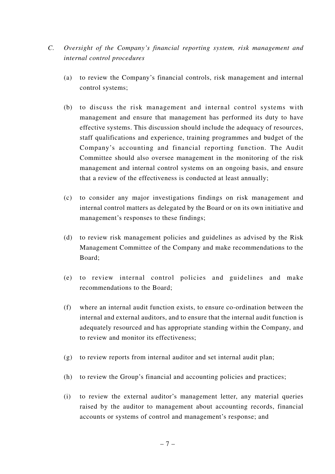- *C. Oversight of the Company's financial reporting system, risk management and internal control procedures*
	- (a) to review the Company's financial controls, risk management and internal control systems;
	- (b) to discuss the risk management and internal control systems with management and ensure that management has performed its duty to have effective systems. This discussion should include the adequacy of resources, staff qualifications and experience, training programmes and budget of the Company's accounting and financial reporting function. The Audit Committee should also oversee management in the monitoring of the risk management and internal control systems on an ongoing basis, and ensure that a review of the effectiveness is conducted at least annually;
	- (c) to consider any major investigations findings on risk management and internal control matters as delegated by the Board or on its own initiative and management's responses to these findings;
	- (d) to review risk management policies and guidelines as advised by the Risk Management Committee of the Company and make recommendations to the Board;
	- (e) to review internal control policies and guidelines and make recommendations to the Board;
	- (f) where an internal audit function exists, to ensure co-ordination between the internal and external auditors, and to ensure that the internal audit function is adequately resourced and has appropriate standing within the Company, and to review and monitor its effectiveness;
	- (g) to review reports from internal auditor and set internal audit plan;
	- (h) to review the Group's financial and accounting policies and practices;
	- (i) to review the external auditor's management letter, any material queries raised by the auditor to management about accounting records, financial accounts or systems of control and management's response; and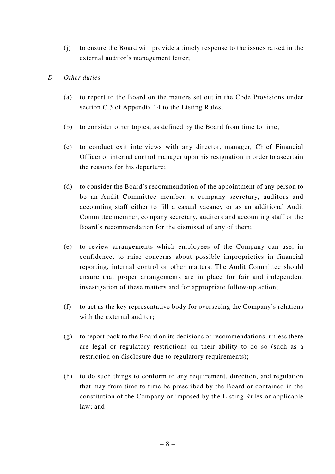- (j) to ensure the Board will provide a timely response to the issues raised in the external auditor's management letter;
- *D Other duties*
	- (a) to report to the Board on the matters set out in the Code Provisions under section C.3 of Appendix 14 to the Listing Rules;
	- (b) to consider other topics, as defined by the Board from time to time;
	- (c) to conduct exit interviews with any director, manager, Chief Financial Officer or internal control manager upon his resignation in order to ascertain the reasons for his departure;
	- (d) to consider the Board's recommendation of the appointment of any person to be an Audit Committee member, a company secretary, auditors and accounting staff either to fill a casual vacancy or as an additional Audit Committee member, company secretary, auditors and accounting staff or the Board's recommendation for the dismissal of any of them;
	- (e) to review arrangements which employees of the Company can use, in confidence, to raise concerns about possible improprieties in financial reporting, internal control or other matters. The Audit Committee should ensure that proper arrangements are in place for fair and independent investigation of these matters and for appropriate follow-up action;
	- (f) to act as the key representative body for overseeing the Company's relations with the external auditor;
	- (g) to report back to the Board on its decisions or recommendations, unless there are legal or regulatory restrictions on their ability to do so (such as a restriction on disclosure due to regulatory requirements);
	- (h) to do such things to conform to any requirement, direction, and regulation that may from time to time be prescribed by the Board or contained in the constitution of the Company or imposed by the Listing Rules or applicable law; and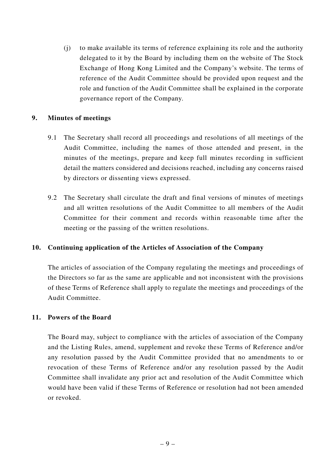(j) to make available its terms of reference explaining its role and the authority delegated to it by the Board by including them on the website of The Stock Exchange of Hong Kong Limited and the Company's website. The terms of reference of the Audit Committee should be provided upon request and the role and function of the Audit Committee shall be explained in the corporate governance report of the Company.

#### **9. Minutes of meetings**

- 9.1 The Secretary shall record all proceedings and resolutions of all meetings of the Audit Committee, including the names of those attended and present, in the minutes of the meetings, prepare and keep full minutes recording in sufficient detail the matters considered and decisions reached, including any concerns raised by directors or dissenting views expressed.
- 9.2 The Secretary shall circulate the draft and final versions of minutes of meetings and all written resolutions of the Audit Committee to all members of the Audit Committee for their comment and records within reasonable time after the meeting or the passing of the written resolutions.

#### **10. Continuing application of the Articles of Association of the Company**

The articles of association of the Company regulating the meetings and proceedings of the Directors so far as the same are applicable and not inconsistent with the provisions of these Terms of Reference shall apply to regulate the meetings and proceedings of the Audit Committee.

#### **11. Powers of the Board**

The Board may, subject to compliance with the articles of association of the Company and the Listing Rules, amend, supplement and revoke these Terms of Reference and/or any resolution passed by the Audit Committee provided that no amendments to or revocation of these Terms of Reference and/or any resolution passed by the Audit Committee shall invalidate any prior act and resolution of the Audit Committee which would have been valid if these Terms of Reference or resolution had not been amended or revoked.